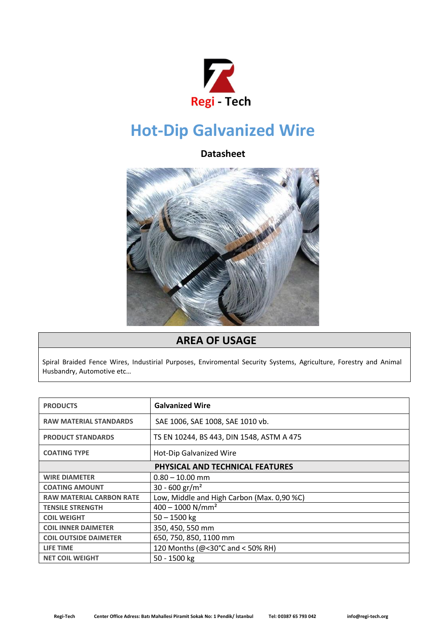

## **Hot-Dip Galvanized Wire**

## **Datasheet**



## **AREA OF USAGE**

Spiral Braided Fence Wires, Industirial Purposes, Enviromental Security Systems, Agriculture, Forestry and Animal Husbandry, Automotive etc…

| <b>PRODUCTS</b>                        | <b>Galvanized Wire</b>                     |
|----------------------------------------|--------------------------------------------|
| <b>RAW MATERIAL STANDARDS</b>          | SAE 1006, SAE 1008, SAE 1010 vb.           |
| <b>PRODUCT STANDARDS</b>               | TS EN 10244, BS 443, DIN 1548, ASTM A 475  |
| <b>COATING TYPE</b>                    | <b>Hot-Dip Galvanized Wire</b>             |
| <b>PHYSICAL AND TECHNICAL FEATURES</b> |                                            |
| <b>WIRE DIAMETER</b>                   | $0.80 - 10.00$ mm                          |
| <b>COATING AMOUNT</b>                  | 30 - 600 gr/m <sup>2</sup>                 |
| <b>RAW MATERIAL CARBON RATE</b>        | Low, Middle and High Carbon (Max. 0,90 %C) |
| <b>TENSILE STRENGTH</b>                | $400 - 1000$ N/mm <sup>2</sup>             |
| <b>COIL WEIGHT</b>                     | $50 - 1500$ kg                             |
| <b>COIL INNER DAIMETER</b>             | 350, 450, 550 mm                           |
| <b>COIL OUTSIDE DAIMETER</b>           | 650, 750, 850, 1100 mm                     |
| <b>LIFE TIME</b>                       | 120 Months (@<30°C and < 50% RH)           |
| <b>NET COIL WEIGHT</b>                 | 50 - 1500 kg                               |